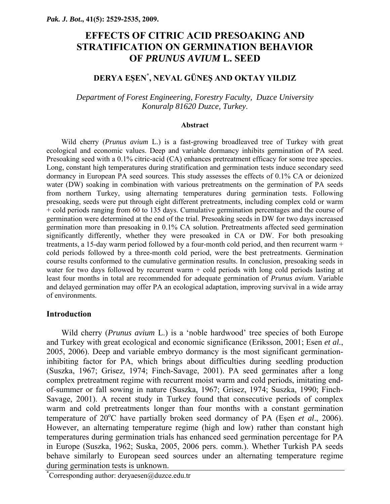# **EFFECTS OF CITRIC ACID PRESOAKING AND STRATIFICATION ON GERMINATION BEHAVIOR OF** *PRUNUS AVIUM* **L. SEED**

# **DERYA EŞEN\* , NEVAL GÜNEŞ AND OKTAY YILDIZ**

*Department of Forest Engineering, Forestry Faculty, Duzce University Konuralp 81620 Duzce, Turkey*.

#### **Abstract**

Wild cherry (*Prunus avium* L.) is a fast-growing broadleaved tree of Turkey with great ecological and economic values. Deep and variable dormancy inhibits germination of PA seed. Presoaking seed with a 0.1% citric-acid (CA) enhances pretreatment efficacy for some tree species. Long, constant high temperatures during stratification and germination tests induce secondary seed dormancy in European PA seed sources. This study assesses the effects of 0.1% CA or deionized water (DW) soaking in combination with various pretreatments on the germination of PA seeds from northern Turkey, using alternating temperatures during germination tests. Following presoaking, seeds were put through eight different pretreatments, including complex cold or warm + cold periods ranging from 60 to 135 days. Cumulative germination percentages and the course of germination were determined at the end of the trial. Presoaking seeds in DW for two days increased germination more than presoaking in 0.1% CA solution. Pretreatments affected seed germination significantly differently, whether they were presoaked in CA or DW. For both presoaking treatments, a 15-day warm period followed by a four-month cold period, and then recurrent warm + cold periods followed by a three-month cold period, were the best pretreatments. Germination course results conformed to the cumulative germination results. In conclusion, presoaking seeds in water for two days followed by recurrent warm  $+$  cold periods with long cold periods lasting at least four months in total are recommended for adequate germination of *Prunus avium*. Variable and delayed germination may offer PA an ecological adaptation, improving survival in a wide array of environments.

# **Introduction**

Wild cherry (*Prunus avium* L.) is a 'noble hardwood' tree species of both Europe and Turkey with great ecological and economic significance (Eriksson, 2001; Esen *et al.*, 2005, 2006). Deep and variable embryo dormancy is the most significant germinationinhibiting factor for PA, which brings about difficulties during seedling production (Suszka, 1967; Grisez, 1974; Finch-Savage, 2001). PA seed germinates after a long complex pretreatment regime with recurrent moist warm and cold periods, imitating endof-summer or fall sowing in nature (Suszka, 1967; Grisez, 1974; Suszka, 1990; Finch-Savage, 2001). A recent study in Turkey found that consecutive periods of complex warm and cold pretreatments longer than four months with a constant germination temperature of  $20^{\circ}$ C have partially broken seed dormancy of PA (Esen *et al.*, 2006). However, an alternating temperature regime (high and low) rather than constant high temperatures during germination trials has enhanced seed germination percentage for PA in Europe (Suszka, 1962; Suska, 2005, 2006 pers. comm.). Whether Turkish PA seeds behave similarly to European seed sources under an alternating temperature regime during germination tests is unknown.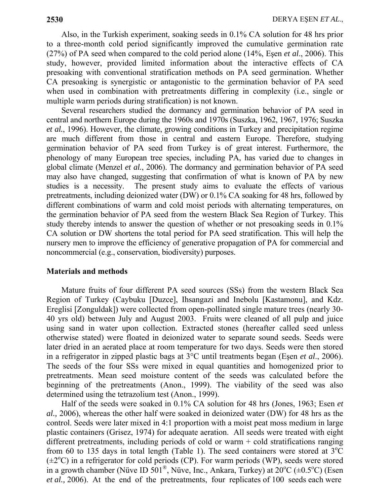Also, in the Turkish experiment, soaking seeds in 0.1% CA solution for 48 hrs prior to a three-month cold period significantly improved the cumulative germination rate (27%) of PA seed when compared to the cold period alone (14%, Eşen *et al*., 2006). This study, however, provided limited information about the interactive effects of CA presoaking with conventional stratification methods on PA seed germination. Whether CA presoaking is synergistic or antagonistic to the germination behavior of PA seed when used in combination with pretreatments differing in complexity (i.e., single or multiple warm periods during stratification) is not known.

Several researchers studied the dormancy and germination behavior of PA seed in central and northern Europe during the 1960s and 1970s (Suszka, 1962, 1967, 1976; Suszka *et al.*, 1996). However, the climate, growing conditions in Turkey and precipitation regime are much different from those in central and eastern Europe. Therefore, studying germination behavior of PA seed from Turkey is of great interest. Furthermore, the phenology of many European tree species, including PA, has varied due to changes in global climate (Menzel *et al.*, 2006). The dormancy and germination behavior of PA seed may also have changed, suggesting that confirmation of what is known of PA by new studies is a necessity. The present study aims to evaluate the effects of various pretreatments, including deionized water (DW) or 0.1% CA soaking for 48 hrs, followed by different combinations of warm and cold moist periods with alternating temperatures, on the germination behavior of PA seed from the western Black Sea Region of Turkey. This study thereby intends to answer the question of whether or not presoaking seeds in 0.1% CA solution or DW shortens the total period for PA seed stratification. This will help the nursery men to improve the efficiency of generative propagation of PA for commercial and noncommercial (e.g., conservation, biodiversity) purposes.

# **Materials and methods**

Mature fruits of four different PA seed sources (SSs) from the western Black Sea Region of Turkey (Caybuku [Duzce], Ihsangazi and Inebolu [Kastamonu], and Kdz. Ereglisi [Zonguldak]) were collected from open-pollinated single mature trees (nearly 30- 40 yrs old) between July and August 2003. Fruits were cleaned of all pulp and juice using sand in water upon collection. Extracted stones (hereafter called seed unless otherwise stated) were floated in deionized water to separate sound seeds. Seeds were later dried in an aerated place at room temperature for two days. Seeds were then stored in a refrigerator in zipped plastic bags at 3°C until treatments began (Eşen *et al*., 2006). The seeds of the four SSs were mixed in equal quantities and homogenized prior to pretreatments. Mean seed moisture content of the seeds was calculated before the beginning of the pretreatments (Anon., 1999). The viability of the seed was also determined using the tetrazolium test (Anon., 1999).

Half of the seeds were soaked in 0.1% CA solution for 48 hrs (Jones, 1963; Esen *et al.,* 2006), whereas the other half were soaked in deionized water (DW) for 48 hrs as the control. Seeds were later mixed in 4:1 proportion with a moist peat moss medium in large plastic containers (Grisez, 1974) for adequate aeration. All seeds were treated with eight different pretreatments, including periods of cold or warm + cold stratifications ranging from 60 to 135 days in total length (Table 1). The seed containers were stored at  $3^{\circ}$ C  $(\pm 2^{\circ}C)$  in a refrigerator for cold periods (CP). For warm periods (WP), seeds were stored in a growth chamber (Nüve ID  $501^{\circ}$ , Nüve, Inc., Ankara, Turkey) at  $20^{\circ}$ C ( $\pm 0.5^{\circ}$ C) (Esen *et al.,* 2006). At the end of the pretreatments, four replicates of 100 seeds each were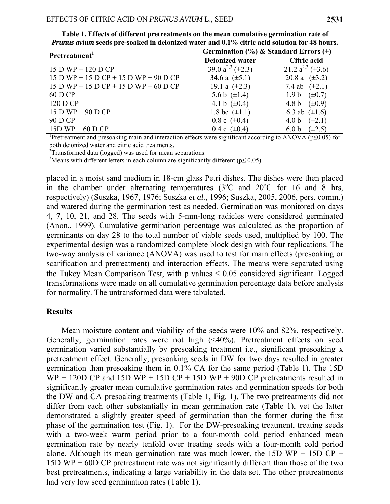| Pretreatment <sup>1</sup>               | Germination (%) & Standard Errors $(\pm)$ |                                 |
|-----------------------------------------|-------------------------------------------|---------------------------------|
|                                         | <b>Deionized water</b>                    | Citric acid                     |
| $15 D WP + 120 D CP$                    | 39.0 $a^{2,3}$ ( $\pm$ 2.3)               | 21.2 $a^{2,3}$ ( $\pm$ 3.6)     |
| $15 D WP + 15 D CP + 15 D WP + 90 D CP$ | 34.6 a $(\pm 5.1)$                        | 20.8 a $(\pm 3.2)$              |
| $15 D WP + 15 D CP + 15 D WP + 60 D CP$ | 19.1 a $(\pm 2.3)$                        | 7.4 ab $(\pm 2.1)$              |
| 60 D CP                                 | 5.6 b $(\pm 1.4)$                         | 1.9 b $(\pm 0.7)$               |
| 120 D CP                                | 4.1 b $(\pm 0.4)$                         | 4.8 b $(\pm 0.9)$               |
| $15 D WP + 90 DCP$                      | 1.8 bc $(\pm 1.1)$                        | 6.3 ab $(\pm 1.6)$              |
| 90 D CP                                 | 0.8 c $(\pm 0.4)$                         | $(\pm 2.1)$<br>4.0 <sub>b</sub> |
| $15D WP + 60DCP$                        | 0.4 c $(\pm 0.4)$                         | $(\pm 2.5)$<br>6.0 <sub>b</sub> |

**Table 1. Effects of different pretreatments on the mean cumulative germination rate of** *Prunus avium* **seeds pre-soaked in deionized water and 0.1% citric acid solution for 48 hours.** 

<sup>1</sup>Pretreatment and presoaking main and interaction effects were significant according to ANOVA (p≤0.05) for both deionized water and citric acid treatments.

 $2$ Transformed data (logged) was used for mean separations.

<sup>3</sup>Means with different letters in each column are significantly different ( $p \le 0.05$ ).

placed in a moist sand medium in 18-cm glass Petri dishes. The dishes were then placed in the chamber under alternating temperatures  $(3^{\circ}$ C and  $20^{\circ}$ C for 16 and 8 hrs, respectively) (Suszka, 1967, 1976; Suszka *et al.,* 1996; Suszka, 2005, 2006, pers. comm.) and watered during the germination test as needed. Germination was monitored on days 4, 7, 10, 21, and 28. The seeds with 5-mm-long radicles were considered germinated (Anon., 1999). Cumulative germination percentage was calculated as the proportion of germinants on day 28 to the total number of viable seeds used, multiplied by 100. The experimental design was a randomized complete block design with four replications. The two-way analysis of variance (ANOVA) was used to test for main effects (presoaking or scarification and pretreatment) and interaction effects. The means were separated using the Tukey Mean Comparison Test, with p values  $\leq 0.05$  considered significant. Logged transformations were made on all cumulative germination percentage data before analysis for normality. The untransformed data were tabulated.

### **Results**

Mean moisture content and viability of the seeds were 10% and 82%, respectively. Generally, germination rates were not high (<40%). Pretreatment effects on seed germination varied substantially by presoaking treatment i.e., significant presoaking x pretreatment effect. Generally, presoaking seeds in DW for two days resulted in greater germination than presoaking them in 0.1% CA for the same period (Table 1). The 15D  $WP + 120D CP$  and 15D WP + 15D CP + 15D WP + 90D CP pretreatments resulted in significantly greater mean cumulative germination rates and germination speeds for both the DW and CA presoaking treatments (Table 1, Fig. 1). The two pretreatments did not differ from each other substantially in mean germination rate (Table 1), yet the latter demonstrated a slightly greater speed of germination than the former during the first phase of the germination test (Fig. 1). For the DW-presoaking treatment, treating seeds with a two-week warm period prior to a four-month cold period enhanced mean germination rate by nearly tenfold over treating seeds with a four-month cold period alone. Although its mean germination rate was much lower, the 15D WP + 15D CP + 15D WP + 60D CP pretreatment rate was not significantly different than those of the two best pretreatments, indicating a large variability in the data set. The other pretreatments had very low seed germination rates (Table 1).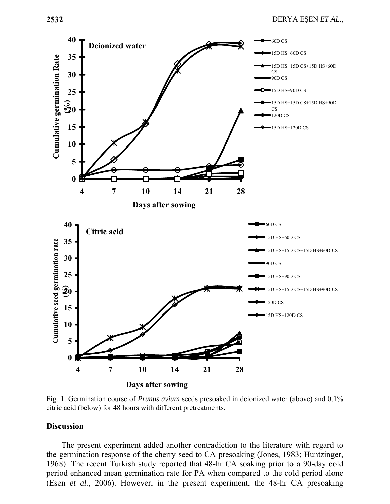

Fig. 1. Germination course of *Prunus avium* seeds presoaked in deionized water (above) and 0.1% citric acid (below) for 48 hours with different pretreatments.

#### **Discussion**

The present experiment added another contradiction to the literature with regard to the germination response of the cherry seed to CA presoaking (Jones, 1983; Huntzinger, 1968): The recent Turkish study reported that 48-hr CA soaking prior to a 90-day cold period enhanced mean germination rate for PA when compared to the cold period alone (Eşen *et al.,* 2006). However, in the present experiment, the 48-hr CA presoaking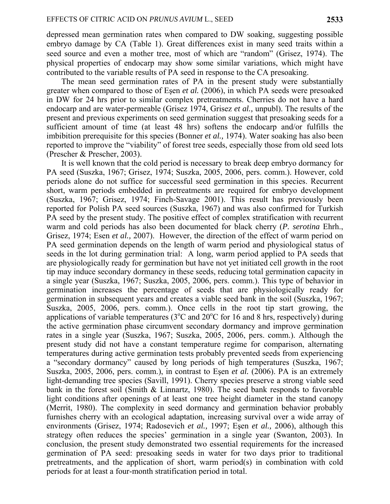depressed mean germination rates when compared to DW soaking, suggesting possible embryo damage by CA (Table 1). Great differences exist in many seed traits within a seed source and even a mother tree, most of which are "random" (Grisez, 1974). The physical properties of endocarp may show some similar variations, which might have contributed to the variable results of PA seed in response to the CA presoaking.

The mean seed germination rates of PA in the present study were substantially greater when compared to those of Eşen *et al.* (2006), in which PA seeds were presoaked in DW for 24 hrs prior to similar complex pretreatments. Cherries do not have a hard endocarp and are water-permeable (Grisez 1974, Grisez *et al.,* unpubl). The results of the present and previous experiments on seed germination suggest that presoaking seeds for a sufficient amount of time (at least 48 hrs) softens the endocarp and/or fulfills the imbibition prerequisite for this species (Bonner *et al.,* 1974). Water soaking has also been reported to improve the "viability" of forest tree seeds, especially those from old seed lots (Prescher & Prescher, 2003).

It is well known that the cold period is necessary to break deep embryo dormancy for PA seed (Suszka, 1967; Grisez, 1974; Suszka, 2005, 2006, pers. comm.). However, cold periods alone do not suffice for successful seed germination in this species. Recurrent short, warm periods embedded in pretreatments are required for embryo development (Suszka, 1967; Grisez, 1974; Finch-Savage 2001). This result has previously been reported for Polish PA seed sources (Suszka, 1967) and was also confirmed for Turkish PA seed by the present study. The positive effect of complex stratification with recurrent warm and cold periods has also been documented for black cherry (*P. serotina* Ehrh., Grisez, 1974; Esen *et al.,* 2007). However, the direction of the effect of warm period on PA seed germination depends on the length of warm period and physiological status of seeds in the lot during germination trial: A long, warm period applied to PA seeds that are physiologically ready for germination but have not yet initiated cell growth in the root tip may induce secondary dormancy in these seeds, reducing total germination capacity in a single year (Suszka, 1967; Suszka, 2005, 2006, pers. comm.). This type of behavior in germination increases the percentage of seeds that are physiologically ready for germination in subsequent years and creates a viable seed bank in the soil (Suszka, 1967; Suszka, 2005, 2006, pers. comm.). Once cells in the root tip start growing, the applications of variable temperatures ( $3^{\circ}$ C and  $20^{\circ}$ C for 16 and 8 hrs, respectively) during the active germination phase circumvent secondary dormancy and improve germination rates in a single year (Suszka, 1967; Suszka, 2005, 2006, pers. comm.). Although the present study did not have a constant temperature regime for comparison, alternating temperatures during active germination tests probably prevented seeds from experiencing a "secondary dormancy" caused by long periods of high temperatures (Suszka, 1967; Suszka, 2005, 2006, pers. comm.), in contrast to Eşen *et al.* (2006). PA is an extremely light-demanding tree species (Savill, 1991). Cherry species preserve a strong viable seed bank in the forest soil (Smith & Linnartz, 1980). The seed bank responds to favorable light conditions after openings of at least one tree height diameter in the stand canopy (Merrit, 1980). The complexity in seed dormancy and germination behavior probably furnishes cherry with an ecological adaptation, increasing survival over a wide array of environments (Grisez, 1974; Radosevich *et al.,* 1997; Eşen *et al.,* 2006), although this strategy often reduces the species' germination in a single year (Swanton, 2003). In conclusion, the present study demonstrated two essential requirements for the increased germination of PA seed: presoaking seeds in water for two days prior to traditional pretreatments, and the application of short, warm period(s) in combination with cold periods for at least a four-month stratification period in total.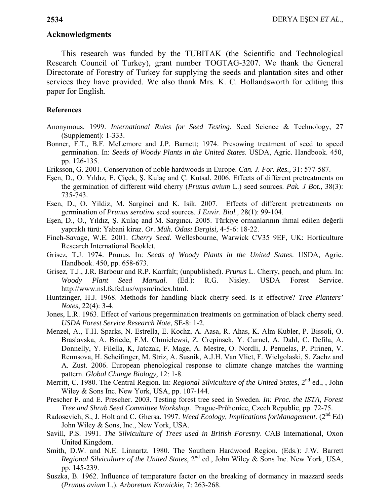## **Acknowledgments**

This research was funded by the TUBITAK (the Scientific and Technological Research Council of Turkey), grant number TOGTAG-3207. We thank the General Directorate of Forestry of Turkey for supplying the seeds and plantation sites and other services they have provided. We also thank Mrs. K. C. Hollandsworth for editing this paper for English.

# **References**

- Anonymous. 1999. *International Rules for Seed Testing*. Seed Science & Technology, 27 (Supplement): 1-333.
- Bonner, F.T., B.F. McLemore and J.P. Barnett; 1974. Presowing treatment of seed to speed germination. In: *Seeds of Woody Plants in the United States*. USDA, Agric. Handbook. 450, pp. 126-135.
- Eriksson, G. 2001. Conservation of noble hardwoods in Europe. *Can. J. For. Res.,* 31: 577-587.
- Eşen, D., O. Yıldız, E. Çiçek, Ş. Kulaç and Ç. Kutsal. 2006. Effects of different pretreatments on the germination of different wild cherry (*Prunus avium* L.) seed sources. *Pak. J Bot.*, 38(3): 735-743.
- Esen, D., O. Yildiz, M. Sarginci and K. Isik. 2007. Effects of different pretreatments on germination of *Prunus serotina* seed sources. *J Envir. Biol.,* 28(1): 99-104.
- Eşen, D., O., Yıldız, Ş. Kulaç and M. Sargıncı. 2005. Türkiye ormanlarının ihmal edilen değerli yapraklı türü: Yabani kiraz. *Or. Müh. Odası Dergisi,* 4-5-6: 18-22.
- Finch-Savage, W.E. 2001. *Cherry Seed*. Wellesbourne, Warwick CV35 9EF, UK: Horticulture Research International Booklet.
- Grisez, T.J. 1974. Prunus. In: *Seeds of Woody Plants in the United States*. USDA, Agric. Handbook. 450, pp. 658-673.
- Grisez, T.J., J.R. Barbour and R.P. Karrfalt; (unpublished). *Prunus* L. Cherry, peach, and plum. In: *Woody Plant Seed Manual.* (Ed.): R.G. Nisley. USDA Forest Service. http://www.nsl.fs.fed.us/wpsm/index.html.
- Huntzinger, H.J. 1968. Methods for handling black cherry seed. Is it effective? *Tree Planters' Notes*, 22(4): 3-4.
- Jones, L.R. 1963. Effect of various pregermination treatments on germination of black cherry seed. *USDA Forest Service Research Note*, SE-8: 1-2.
- Menzel, A., T.H. Sparks, N. Estrella, E. Kochz, A. Aasa, R. Ahas, K. Alm Kubler, P. Bissoli, O. Braslavska, A. Briede, F.M. Chmielewsi, Z. Crepinsek, Y. Curnel, A. Dahl, C. Defila, A. Donnelly, Y. Filella, K, Jatczak, F. Mage, A. Mestre, O. Nordli, J. Penuelas, P. Pirinen, V. Remısova, H. Scheifınger, M. Striz, A. Susnik, A.J.H. Van Vliet, F. Wielgolaski, S. Zachz and A. Zust. 2006. European phenological response to climate change matches the warming pattern. *Global Change Biology*, 12: 1-8.
- Merritt, C. 1980. The Central Region. In: *Regional Silviculture of the United States*, 2<sup>nd</sup> ed., , John Wiley & Sons Inc. New York, USA, pp. 107-144.
- Prescher F. and E. Prescher. 2003. Testing forest tree seed in Sweden. *In: Proc. the ISTA, Forest Tree and Shrub Seed Committee Workshop*. Prague-Průhonice, Czech Republic, pp. 72-75.
- Radosevich, S., J. Holt and C. Ghersa. 1997. *Weed Ecology, Implications forManagement*. (2<sup>nd</sup> Ed) John Wiley & Sons, Inc., New York, USA.
- Savill, P.S. 1991. *The Silviculture of Trees used in British Forestry*. CAB International, Oxon United Kingdom.
- Smith, D.W. and N.E. Linnartz. 1980. The Southern Hardwood Region. (Eds.): J.W. Barrett *Regional Silviculture of the United States*, 2<sup>nd</sup> ed., John Wiley & Sons Inc. New York, USA, pp. 145-239.
- Suszka, B. 1962. Influence of temperature factor on the breaking of dormancy in mazzard seeds (*Prunus avium* L.). *Arboretum Kornickie*, 7: 263-268.